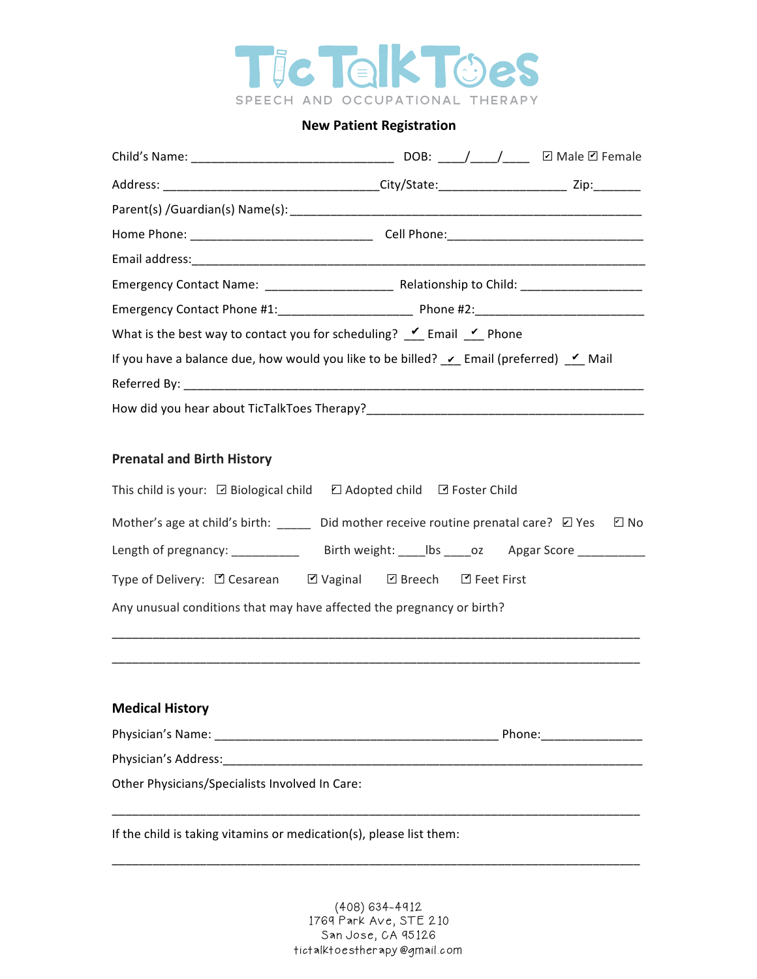

### **New Patient Registration**

| What is the best way to contact you for scheduling? $\vee$ Email $\vee$ Phone                                                                                                                                                  |  |           |
|--------------------------------------------------------------------------------------------------------------------------------------------------------------------------------------------------------------------------------|--|-----------|
| If you have a balance due, how would you like to be billed? $\vee$ Email (preferred) $\vee$ Mail                                                                                                                               |  |           |
| Referred By: North Contract Contract Contract Contract Contract Contract Contract Contract Contract Contract Contract Contract Contract Contract Contract Contract Contract Contract Contract Contract Contract Contract Contr |  |           |
| How did you hear about TicTalkToes Therapy? Noting the summary and the second service of the service of the service of the service of the service of the service of the service of the service of the service of the service o |  |           |
|                                                                                                                                                                                                                                |  |           |
| <b>Prenatal and Birth History</b>                                                                                                                                                                                              |  |           |
| This child is your: Ø Biological child Ø Adopted child Ø Foster Child                                                                                                                                                          |  |           |
| Mother's age at child's birth: _____ Did mother receive routine prenatal care? <b>Ø</b> Yes                                                                                                                                    |  | $\Box$ No |
| Length of pregnancy: _____________ Birth weight: ____lbs ____oz Apgar Score __________                                                                                                                                         |  |           |
| Type of Delivery: L' Cesarean L' Vaginal L' Breech L' Feet First                                                                                                                                                               |  |           |
| Any unusual conditions that may have affected the pregnancy or birth?                                                                                                                                                          |  |           |
|                                                                                                                                                                                                                                |  |           |
| <u> 1989 - Johann Stoff, deutscher Stoff, der Stoff, der Stoff, der Stoff, der Stoff, der Stoff, der Stoff, der S</u>                                                                                                          |  |           |
|                                                                                                                                                                                                                                |  |           |
| <b>Medical History</b>                                                                                                                                                                                                         |  |           |
|                                                                                                                                                                                                                                |  |           |

Physician's Address:\_\_\_\_\_\_\_\_\_\_\_\_\_\_\_\_\_\_\_\_\_\_\_\_\_\_\_\_\_\_\_\_\_\_\_\_\_\_\_\_\_\_\_\_\_\_\_\_\_\_\_\_\_\_\_\_\_\_\_\_\_\_ Other Physicians/Specialists Involved In Care:

\_\_\_\_\_\_\_\_\_\_\_\_\_\_\_\_\_\_\_\_\_\_\_\_\_\_\_\_\_\_\_\_\_\_\_\_\_\_\_\_\_\_\_\_\_\_\_\_\_\_\_\_\_\_\_\_\_\_\_\_\_\_\_\_\_\_\_\_\_\_\_\_\_\_\_\_\_\_

\_\_\_\_\_\_\_\_\_\_\_\_\_\_\_\_\_\_\_\_\_\_\_\_\_\_\_\_\_\_\_\_\_\_\_\_\_\_\_\_\_\_\_\_\_\_\_\_\_\_\_\_\_\_\_\_\_\_\_\_\_\_\_\_\_\_\_\_\_\_\_\_\_\_\_\_\_\_ 

If the child is taking vitamins or medication(s), please list them: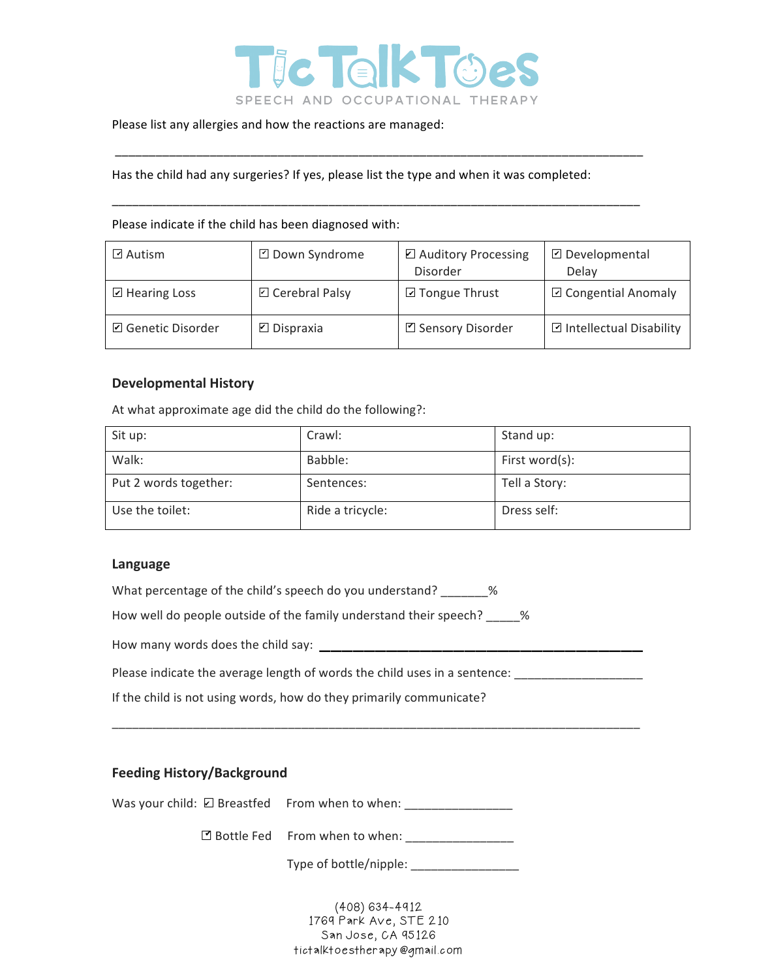

\_\_\_\_\_\_\_\_\_\_\_\_\_\_\_\_\_\_\_\_\_\_\_\_\_\_\_\_\_\_\_\_\_\_\_\_\_\_\_\_\_\_\_\_\_\_\_\_\_\_\_\_\_\_\_\_\_\_\_\_\_\_\_\_\_\_\_\_\_\_\_\_\_\_\_\_\_\_ 

Please list any allergies and how the reactions are managed:

Has the child had any surgeries? If yes, please list the type and when it was completed:

Please indicate if the child has been diagnosed with:

| $\boxdot$ Autism              | □ Down Syndrome         | ☑ Auditory Processing<br>Disorder | □ Developmental<br>Delay  |
|-------------------------------|-------------------------|-----------------------------------|---------------------------|
| $\triangleright$ Hearing Loss | <b>☑</b> Cerebral Palsy | <b>□</b> Tongue Thrust            | □ Congential Anomaly      |
| ■ Genetic Disorder            | $\Box$ Dispraxia        | ■ Sensory Disorder                | □ Intellectual Disability |

### **Developmental History**

At what approximate age did the child do the following?:

| Sit up:               | Crawl:           | Stand up:      |
|-----------------------|------------------|----------------|
| Walk:                 | Babble:          | First word(s): |
| Put 2 words together: | Sentences:       | Tell a Story:  |
| Use the toilet:       | Ride a tricycle: | Dress self:    |

### **Language**

| What percentage of the child's speech do you understand?<br>$\%$                  |
|-----------------------------------------------------------------------------------|
| How well do people outside of the family understand their speech? $\frac{1}{2}$ % |
| How many words does the child say: ________                                       |
| Please indicate the average length of words the child uses in a sentence:         |
| If the child is not using words, how do they primarily communicate?               |

\_\_\_\_\_\_\_\_\_\_\_\_\_\_\_\_\_\_\_\_\_\_\_\_\_\_\_\_\_\_\_\_\_\_\_\_\_\_\_\_\_\_\_\_\_\_\_\_\_\_\_\_\_\_\_\_\_\_\_\_\_\_\_\_\_\_\_\_\_\_\_\_\_\_\_\_\_\_

### **Feeding History/Background**

Was your child:  $\Box$  Breastfed From when to when: \_\_\_\_\_\_\_\_\_\_\_\_\_\_\_\_\_\_\_\_\_\_\_\_\_\_\_\_\_\_

■ Bottle Fed From when to when: \_\_\_\_\_\_\_\_\_\_\_\_\_\_\_\_\_\_

Type of bottle/nipple: \_\_\_\_\_\_\_\_\_\_\_\_\_\_\_\_\_\_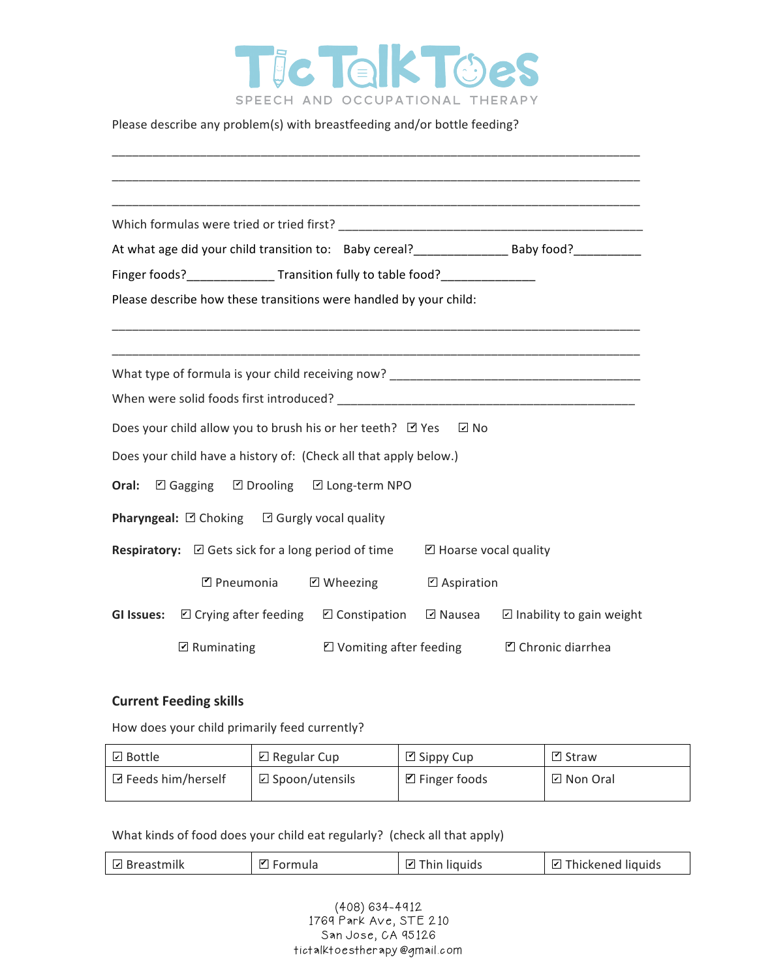

Please describe any problem(s) with breastfeeding and/or bottle feeding?

| Finger foods?________________Transition fully to table food?___________________  |                                        |                                                                                                                              |
|----------------------------------------------------------------------------------|----------------------------------------|------------------------------------------------------------------------------------------------------------------------------|
| Please describe how these transitions were handled by your child:                |                                        |                                                                                                                              |
|                                                                                  |                                        |                                                                                                                              |
|                                                                                  |                                        |                                                                                                                              |
|                                                                                  |                                        |                                                                                                                              |
| Does your child allow you to brush his or her teeth? Ø Yes Ø No                  |                                        |                                                                                                                              |
| Does your child have a history of: (Check all that apply below.)                 |                                        |                                                                                                                              |
| Oral: Ø Gagging Ø Drooling Ø Long-term NPO                                       |                                        |                                                                                                                              |
| <b>Pharyngeal:</b> $\boxdot$ Choking $\boxdot$ Gurgly vocal quality              |                                        |                                                                                                                              |
| <b>Respiratory:</b> Ø Gets sick for a long period of time Ø Hoarse vocal quality |                                        |                                                                                                                              |
|                                                                                  | ■ Pneumonia ■ Wheezing ■ El Aspiration |                                                                                                                              |
|                                                                                  |                                        | GI Issues: $\boxtimes$ Crying after feeding $\boxtimes$ Constipation $\boxtimes$ Nausea $\boxtimes$ Inability to gain weight |
| $\triangleright$ Ruminating                                                      | $\Sigma$ Vomiting after feeding        | ■ Chronic diarrhea                                                                                                           |

### **Current Feeding skills**

How does your child primarily feed currently?

| ☑ Bottle            | $\boxdot$ Regular Cup | ■ Sippy Cup                 | ■ Straw           |
|---------------------|-----------------------|-----------------------------|-------------------|
| □ Feeds him/herself | $□$ Spoon/utensils    | $\blacksquare$ Finger foods | <b>☑ Non Oral</b> |

What kinds of food does your child eat regularly? (check all that apply)

|  | ■ Breastmilk | ▱┍<br>Formula | $\sim$<br>Thin liquids | Thickened liquids<br> V |
|--|--------------|---------------|------------------------|-------------------------|
|--|--------------|---------------|------------------------|-------------------------|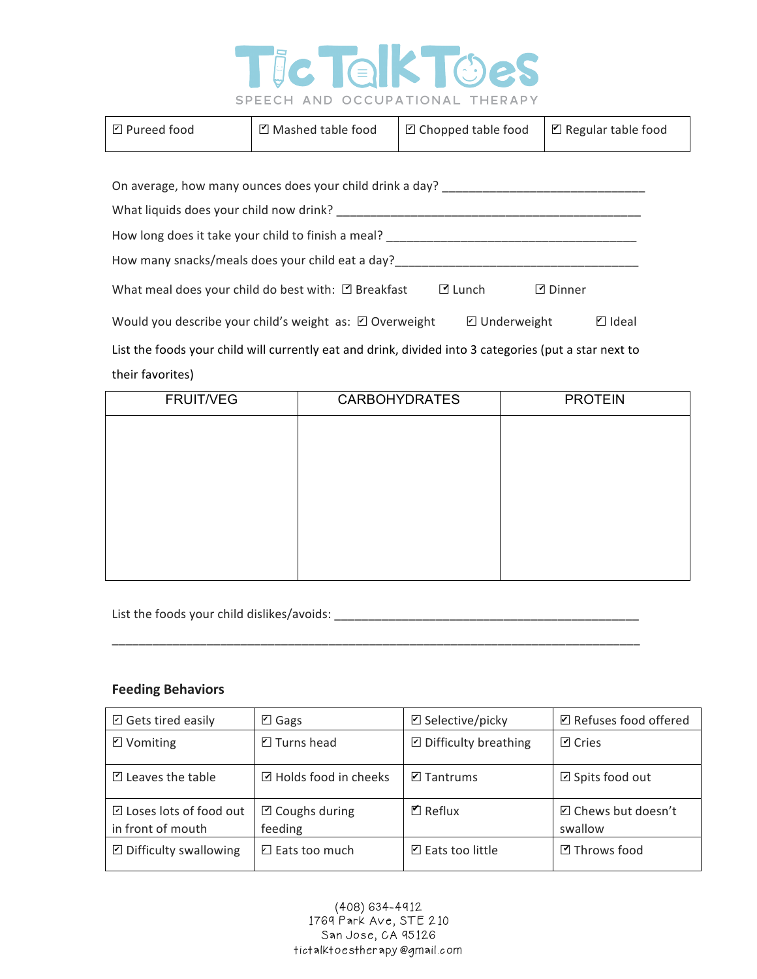

| <b>☑</b> Pureed food                                                                                  | ■ Mashed table food                                      | $\boxdot$ Chopped table food | $\boxtimes$ Regular table food |  |
|-------------------------------------------------------------------------------------------------------|----------------------------------------------------------|------------------------------|--------------------------------|--|
|                                                                                                       |                                                          |                              |                                |  |
|                                                                                                       | On average, how many ounces does your child drink a day? |                              |                                |  |
|                                                                                                       |                                                          |                              |                                |  |
|                                                                                                       | How long does it take your child to finish a meal?       |                              |                                |  |
| How many snacks/meals does your child eat a day?                                                      |                                                          |                              |                                |  |
| $\blacksquare$ Lunch<br>■ Dinner<br>What meal does your child do best with: $\Box$ Breakfast          |                                                          |                              |                                |  |
| $\Box$ Ideal<br>Would you describe your child's weight as: □ Overweight<br>☑ Underweight              |                                                          |                              |                                |  |
| List the foods your child will currently eat and drink, divided into 3 categories (put a star next to |                                                          |                              |                                |  |
| their favorites)                                                                                      |                                                          |                              |                                |  |

| <b>FRUIT/VEG</b> | <b>CARBOHYDRATES</b> | <b>PROTEIN</b> |
|------------------|----------------------|----------------|
|                  |                      |                |
|                  |                      |                |
|                  |                      |                |
|                  |                      |                |
|                  |                      |                |
|                  |                      |                |
|                  |                      |                |

List the foods your child dislikes/avoids: \_\_\_\_\_\_\_\_\_\_\_\_\_\_\_\_\_\_\_\_\_\_\_\_\_\_\_\_\_\_\_\_\_\_\_\_\_\_\_\_\_\_\_\_\_

## **Feeding Behaviors**

| □ Gets tired easily                           | $\Box$ Gags                      | $\boxtimes$ Selective/picky    | $\boxtimes$ Refuses food offered         |
|-----------------------------------------------|----------------------------------|--------------------------------|------------------------------------------|
| <b>☑</b> Vomiting                             | $\Sigma$ Turns head              | $\boxdot$ Difficulty breathing | ■ Cries                                  |
| D Leaves the table                            | $\boxtimes$ Holds food in cheeks | $\blacksquare$ Tantrums        | □ Spits food out                         |
| □ Loses lots of food out<br>in front of mouth | $\Box$ Coughs during<br>feeding  | $\blacksquare$ Reflux          | $\boxtimes$ Chews but doesn't<br>swallow |
| $\boxdot$ Difficulty swallowing               | $\Box$ Eats too much             | $\Box$ Eats too little         | $\blacksquare$ Throws food               |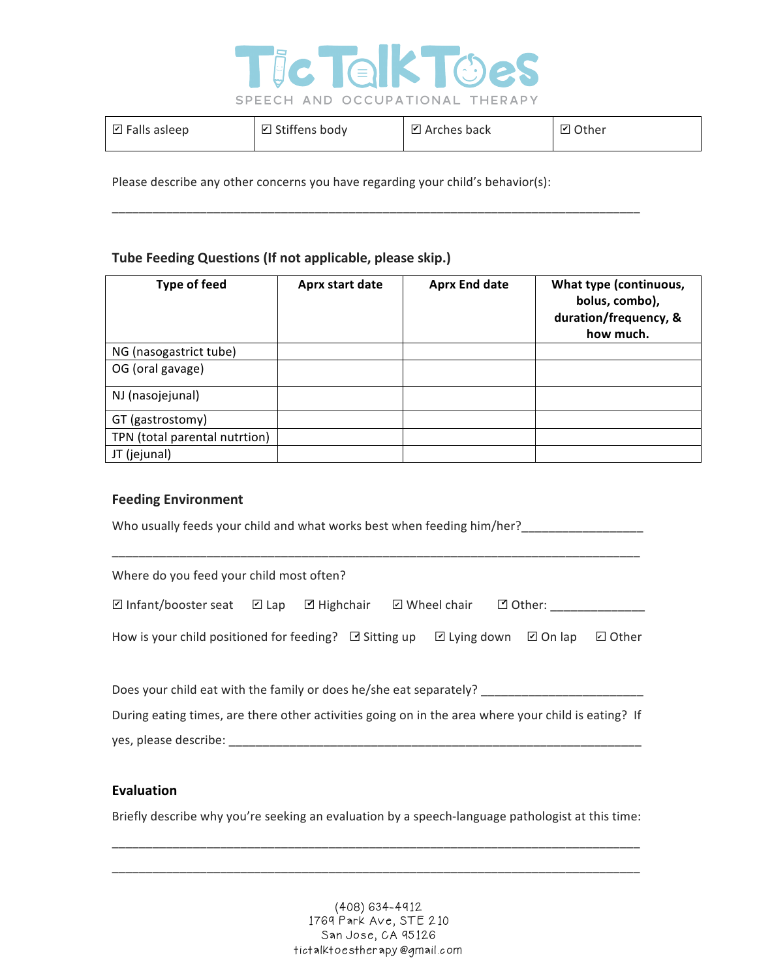

| ■ Falls asleep | ■ Stiffens body | $\blacksquare$ Arches back | ■ Other |
|----------------|-----------------|----------------------------|---------|

Please describe any other concerns you have regarding your child's behavior(s):

### Tube Feeding Questions (If not applicable, please skip.)

| Type of feed                  | Aprx start date | <b>Aprx End date</b> | What type (continuous,<br>bolus, combo),<br>duration/frequency, &<br>how much. |
|-------------------------------|-----------------|----------------------|--------------------------------------------------------------------------------|
| NG (nasogastrict tube)        |                 |                      |                                                                                |
| OG (oral gavage)              |                 |                      |                                                                                |
| NJ (nasojejunal)              |                 |                      |                                                                                |
| GT (gastrostomy)              |                 |                      |                                                                                |
| TPN (total parental nutrtion) |                 |                      |                                                                                |
| JT (jejunal)                  |                 |                      |                                                                                |

### **Feeding Environment**

Who usually feeds your child and what works best when feeding him/her?\_\_\_\_\_\_\_\_\_\_\_\_\_\_\_\_

| Where do you feed your child most often?                                                                 |  |  |  |  |  |          |  |  |
|----------------------------------------------------------------------------------------------------------|--|--|--|--|--|----------|--|--|
| $\Box$ Infant/booster seat $\Box$ Lap $\Box$ Highchair $\Box$ Wheel chair                                |  |  |  |  |  | ■ Other: |  |  |
| How is your child positioned for feeding? $\Box$ Sitting up $\Box$ Lying down $\Box$ On lap $\Box$ Other |  |  |  |  |  |          |  |  |

\_\_\_\_\_\_\_\_\_\_\_\_\_\_\_\_\_\_\_\_\_\_\_\_\_\_\_\_\_\_\_\_\_\_\_\_\_\_\_\_\_\_\_\_\_\_\_\_\_\_\_\_\_\_\_\_\_\_\_\_\_\_\_\_\_\_\_\_\_\_\_\_\_\_\_\_\_\_

Does your child eat with the family or does he/she eat separately? \_\_\_\_\_\_\_\_\_\_\_\_\_ During eating times, are there other activities going on in the area where your child is eating? If yes, please describe: \_\_\_\_\_\_\_\_\_\_\_\_\_\_\_\_\_\_\_\_\_\_\_\_\_\_\_\_\_\_\_\_\_\_\_\_\_\_\_\_\_\_\_\_\_\_\_\_\_\_\_\_\_\_\_\_\_\_\_\_\_

# **Evaluation**

Briefly describe why you're seeking an evaluation by a speech-language pathologist at this time:

\_\_\_\_\_\_\_\_\_\_\_\_\_\_\_\_\_\_\_\_\_\_\_\_\_\_\_\_\_\_\_\_\_\_\_\_\_\_\_\_\_\_\_\_\_\_\_\_\_\_\_\_\_\_\_\_\_\_\_\_\_\_\_\_\_\_\_\_\_\_\_\_\_\_\_\_\_\_

\_\_\_\_\_\_\_\_\_\_\_\_\_\_\_\_\_\_\_\_\_\_\_\_\_\_\_\_\_\_\_\_\_\_\_\_\_\_\_\_\_\_\_\_\_\_\_\_\_\_\_\_\_\_\_\_\_\_\_\_\_\_\_\_\_\_\_\_\_\_\_\_\_\_\_\_\_\_